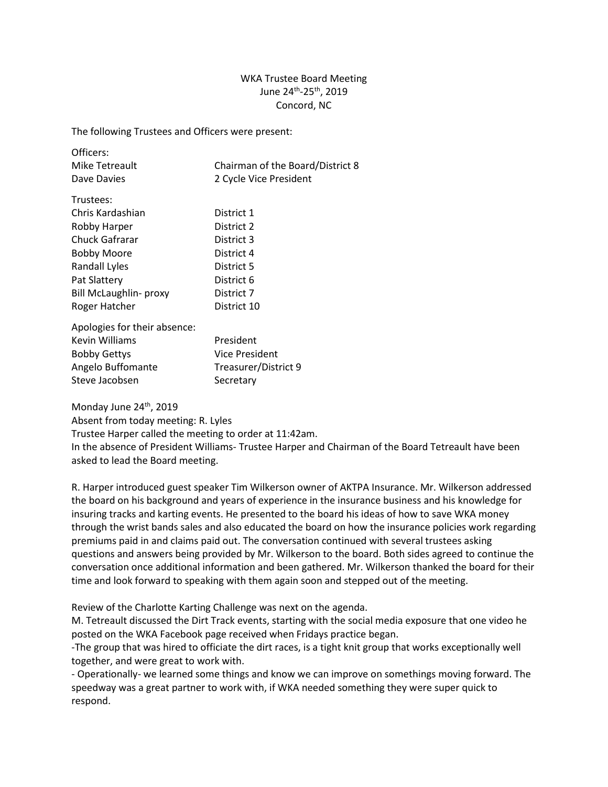## WKA Trustee Board Meeting June 24th -25th, 2019 Concord, NC

The following Trustees and Officers were present:

| Officers:                    |                                  |
|------------------------------|----------------------------------|
| Mike Tetreault               | Chairman of the Board/District 8 |
| Dave Davies                  | 2 Cycle Vice President           |
| Trustees:                    |                                  |
|                              |                                  |
| Chris Kardashian             | District 1                       |
| Robby Harper                 | District 2                       |
| Chuck Gafrarar               | District 3                       |
| Bobby Moore                  | District 4                       |
| Randall Lyles                | District 5                       |
| Pat Slattery                 | District 6                       |
| Bill McLaughlin- proxy       | District 7                       |
| Roger Hatcher                | District 10                      |
| Apologies for their absence: |                                  |
|                              |                                  |
| Kevin Williams               | President                        |
| <b>Bobby Gettys</b>          | Vice President                   |
| Angelo Buffomante            | Treasurer/District 9             |
| Steve Jacobsen               | Secretary                        |
|                              |                                  |

Monday June 24<sup>th</sup>, 2019

Absent from today meeting: R. Lyles

Trustee Harper called the meeting to order at 11:42am.

In the absence of President Williams- Trustee Harper and Chairman of the Board Tetreault have been asked to lead the Board meeting.

R. Harper introduced guest speaker Tim Wilkerson owner of AKTPA Insurance. Mr. Wilkerson addressed the board on his background and years of experience in the insurance business and his knowledge for insuring tracks and karting events. He presented to the board his ideas of how to save WKA money through the wrist bands sales and also educated the board on how the insurance policies work regarding premiums paid in and claims paid out. The conversation continued with several trustees asking questions and answers being provided by Mr. Wilkerson to the board. Both sides agreed to continue the conversation once additional information and been gathered. Mr. Wilkerson thanked the board for their time and look forward to speaking with them again soon and stepped out of the meeting.

Review of the Charlotte Karting Challenge was next on the agenda.

M. Tetreault discussed the Dirt Track events, starting with the social media exposure that one video he posted on the WKA Facebook page received when Fridays practice began.

-The group that was hired to officiate the dirt races, is a tight knit group that works exceptionally well together, and were great to work with.

- Operationally- we learned some things and know we can improve on somethings moving forward. The speedway was a great partner to work with, if WKA needed something they were super quick to respond.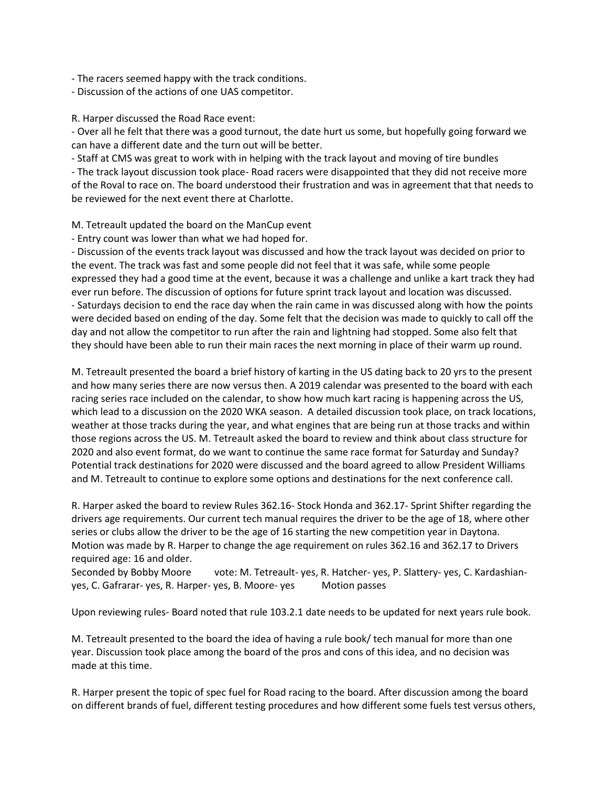- The racers seemed happy with the track conditions.

- Discussion of the actions of one UAS competitor.

R. Harper discussed the Road Race event:

- Over all he felt that there was a good turnout, the date hurt us some, but hopefully going forward we can have a different date and the turn out will be better.

- Staff at CMS was great to work with in helping with the track layout and moving of tire bundles - The track layout discussion took place- Road racers were disappointed that they did not receive more

of the Roval to race on. The board understood their frustration and was in agreement that that needs to be reviewed for the next event there at Charlotte.

M. Tetreault updated the board on the ManCup event

- Entry count was lower than what we had hoped for.

- Discussion of the events track layout was discussed and how the track layout was decided on prior to the event. The track was fast and some people did not feel that it was safe, while some people expressed they had a good time at the event, because it was a challenge and unlike a kart track they had ever run before. The discussion of options for future sprint track layout and location was discussed. - Saturdays decision to end the race day when the rain came in was discussed along with how the points were decided based on ending of the day. Some felt that the decision was made to quickly to call off the day and not allow the competitor to run after the rain and lightning had stopped. Some also felt that they should have been able to run their main races the next morning in place of their warm up round.

M. Tetreault presented the board a brief history of karting in the US dating back to 20 yrs to the present and how many series there are now versus then. A 2019 calendar was presented to the board with each racing series race included on the calendar, to show how much kart racing is happening across the US, which lead to a discussion on the 2020 WKA season. A detailed discussion took place, on track locations, weather at those tracks during the year, and what engines that are being run at those tracks and within those regions across the US. M. Tetreault asked the board to review and think about class structure for 2020 and also event format, do we want to continue the same race format for Saturday and Sunday? Potential track destinations for 2020 were discussed and the board agreed to allow President Williams and M. Tetreault to continue to explore some options and destinations for the next conference call.

R. Harper asked the board to review Rules 362.16- Stock Honda and 362.17- Sprint Shifter regarding the drivers age requirements. Our current tech manual requires the driver to be the age of 18, where other series or clubs allow the driver to be the age of 16 starting the new competition year in Daytona. Motion was made by R. Harper to change the age requirement on rules 362.16 and 362.17 to Drivers required age: 16 and older.

Seconded by Bobby Moore vote: M. Tetreault- yes, R. Hatcher- yes, P. Slattery- yes, C. Kardashianyes, C. Gafrarar- yes, R. Harper- yes, B. Moore- yes Motion passes

Upon reviewing rules- Board noted that rule 103.2.1 date needs to be updated for next years rule book.

M. Tetreault presented to the board the idea of having a rule book/ tech manual for more than one year. Discussion took place among the board of the pros and cons of this idea, and no decision was made at this time.

R. Harper present the topic of spec fuel for Road racing to the board. After discussion among the board on different brands of fuel, different testing procedures and how different some fuels test versus others,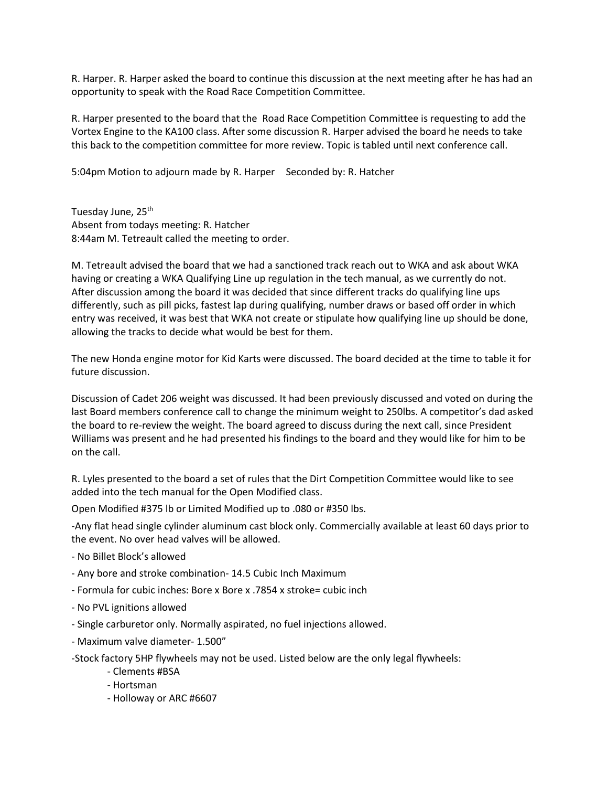R. Harper. R. Harper asked the board to continue this discussion at the next meeting after he has had an opportunity to speak with the Road Race Competition Committee.

R. Harper presented to the board that the Road Race Competition Committee is requesting to add the Vortex Engine to the KA100 class. After some discussion R. Harper advised the board he needs to take this back to the competition committee for more review. Topic is tabled until next conference call.

5:04pm Motion to adjourn made by R. Harper Seconded by: R. Hatcher

Tuesday June, 25<sup>th</sup> Absent from todays meeting: R. Hatcher 8:44am M. Tetreault called the meeting to order.

M. Tetreault advised the board that we had a sanctioned track reach out to WKA and ask about WKA having or creating a WKA Qualifying Line up regulation in the tech manual, as we currently do not. After discussion among the board it was decided that since different tracks do qualifying line ups differently, such as pill picks, fastest lap during qualifying, number draws or based off order in which entry was received, it was best that WKA not create or stipulate how qualifying line up should be done, allowing the tracks to decide what would be best for them.

The new Honda engine motor for Kid Karts were discussed. The board decided at the time to table it for future discussion.

Discussion of Cadet 206 weight was discussed. It had been previously discussed and voted on during the last Board members conference call to change the minimum weight to 250lbs. A competitor's dad asked the board to re-review the weight. The board agreed to discuss during the next call, since President Williams was present and he had presented his findings to the board and they would like for him to be on the call.

R. Lyles presented to the board a set of rules that the Dirt Competition Committee would like to see added into the tech manual for the Open Modified class.

Open Modified #375 lb or Limited Modified up to .080 or #350 lbs.

-Any flat head single cylinder aluminum cast block only. Commercially available at least 60 days prior to the event. No over head valves will be allowed.

- No Billet Block's allowed
- Any bore and stroke combination- 14.5 Cubic Inch Maximum
- Formula for cubic inches: Bore x Bore x .7854 x stroke= cubic inch
- No PVL ignitions allowed
- Single carburetor only. Normally aspirated, no fuel injections allowed.
- Maximum valve diameter- 1.500"
- -Stock factory 5HP flywheels may not be used. Listed below are the only legal flywheels:
	- Clements #BSA
	- Hortsman
	- Holloway or ARC #6607